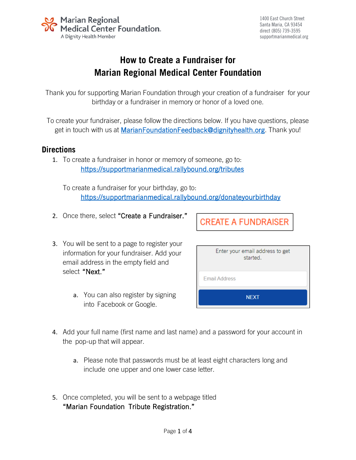

1400 East Church Street Santa Maria, CA 93454 direct (805) 739-3595 supportmarianmedical.org

## **How to Create a Fundraiser for Marian Regional Medical Center Foundation**

Thank you for supporting Marian Foundation through your creation of a fundraiser for your birthday or a fundraiser in memory or honor of a loved one.

To create your fundraiser, please follow the directions below. If you have questions, please get in touch with us at [MarianFoundationFeedback@dignityhealth.org.](mailto:MarianFoundationFeedback@dignityhealth.org) Thank you!

## **Directions**

1. To create a fundraiser in honor or memory of someone, go to: <https://supportmarianmedical.rallybound.org/tributes>

To create a fundraiser for your birthday, go to: <https://supportmarianmedical.rallybound.org/donateyourbirthday>

2. Once there, select "Create a Fundraiser."

**CREATE A FUNDRAISER** 

- 3. You will be sent to a page to register your information for your fundraiser. Add your email address in the empty field and select "Next."
	- a. You can also register by signing into Facebook or Google.

| Enter your email address to get<br>started. |  |  |
|---------------------------------------------|--|--|
| <b>Email Address</b>                        |  |  |
| <b>NEXT</b>                                 |  |  |

- 4. Add your full name (first name and last name) and a password for your account in the pop-up that will appear.
	- a. Please note that passwords must be at least eight characters long and include one upper and one lower case letter.
- 5. Once completed, you will be sent to a webpage titled "Marian Foundation Tribute Registration."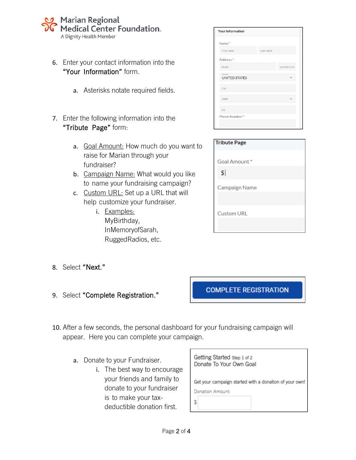## **Marian Regional** Medical Center Foundation。 A Dignity Health Member

- 6. Enter your contact information into the "Your Information" form.
	- a. Asterisks notate required fields.
- 7. Enter the following information into the "Tribute Page" form:
	- a. Goal Amount: How much do you want to raise for Marian through your fundraiser?
	- b. Campaign Name: What would you like to name your fundraising campaign?
	- c. Custom URL: Set up a URL that will help customize your fundraiser.
		- i. Examples: MyBirthday, InMemoryofSarah, RuggedRadios, etc.

Santa Maria, CA 93454 **Your Information** supportmarianmedical.org Name\* First Name l.<br>ast Nam Address<sup>\*</sup> Street Ant/Ste/Unit UNITED STATES City State Zip Phone Number\*

| <b>Tribute Page</b>          |  |
|------------------------------|--|
| Goal Amount*                 |  |
| $\left  \frac{1}{2} \right $ |  |
| <b>Campaign Name</b>         |  |
| <b>Custom URL</b>            |  |

- 8. Select "Next."
- 9. Select "Complete Registration."

**COMPLETE REGISTRATION** 

- 10. After a few seconds, the personal dashboard for your fundraising campaign will appear. Here you can complete your campaign.
	- a. Donate to your Fundraiser.
		- i. The best way to encourage your friends and family to donate to your fundraiser is to make your taxdeductible donation first.

| Getting Started Step 1 of 2<br>Donate To Your Own Goal |  |
|--------------------------------------------------------|--|
| Get your campaign started with a donation of your own! |  |
| Donation Amount:                                       |  |
|                                                        |  |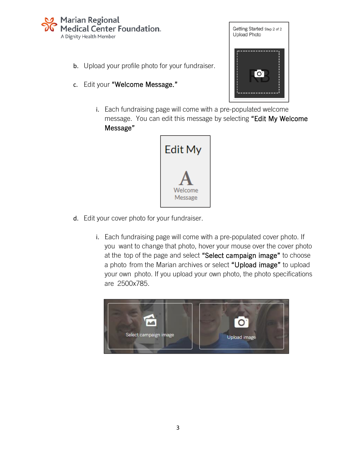

- b. Upload your profile photo for your fundraiser.
- c. Edit your "Welcome Message."



i. Each fundraising page will come with a pre-populated welcome message. You can edit this message by selecting "Edit My Welcome Message"



- d. Edit your cover photo for your fundraiser.
	- i. Each fundraising page will come with a pre-populated cover photo. If you want to change that photo, hover your mouse over the cover photo at the top of the page and select "Select campaign image" to choose a photo from the Marian archives or select "Upload image" to upload your own photo. If you upload your own photo, the photo specifications are 2500x785.